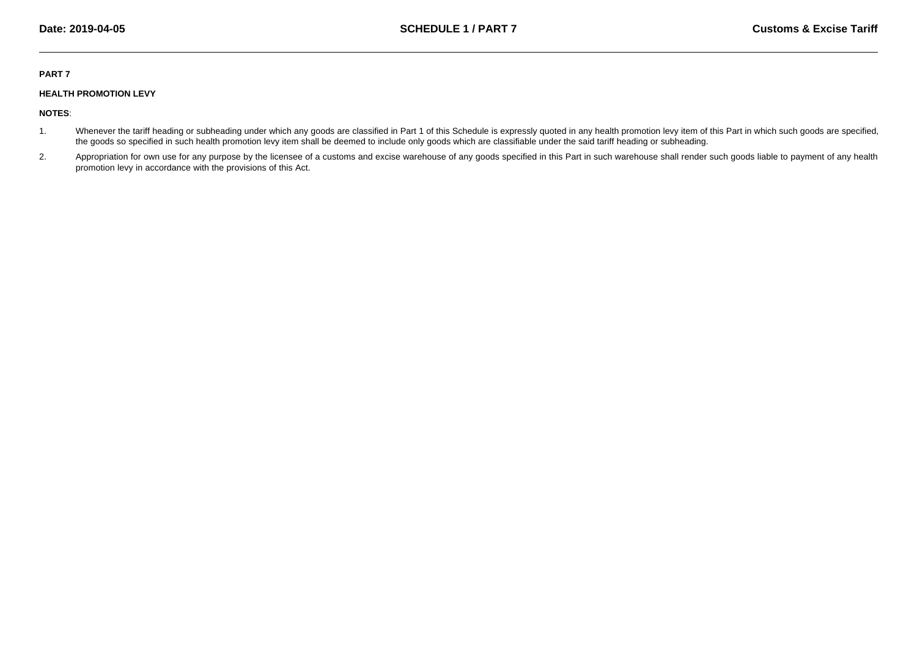## **PART 7**

## **HEALTH PROMOTION LEVY**

**NOTES**:

- 1.Whenever the tariff heading or subheading under which any goods are classified in Part 1 of this Schedule is expressly quoted in any health promotion levy item of this Part in which such goods are specified, the goods so specified in such health promotion levy item shall be deemed to include only goods which are classifiable under the said tariff heading or subheading.
- 2.Appropriation for own use for any purpose by the licensee of a customs and excise warehouse of any goods specified in this Part in such warehouse shall render such goods liable to payment of any health promotion levy in accordance with the provisions of this Act.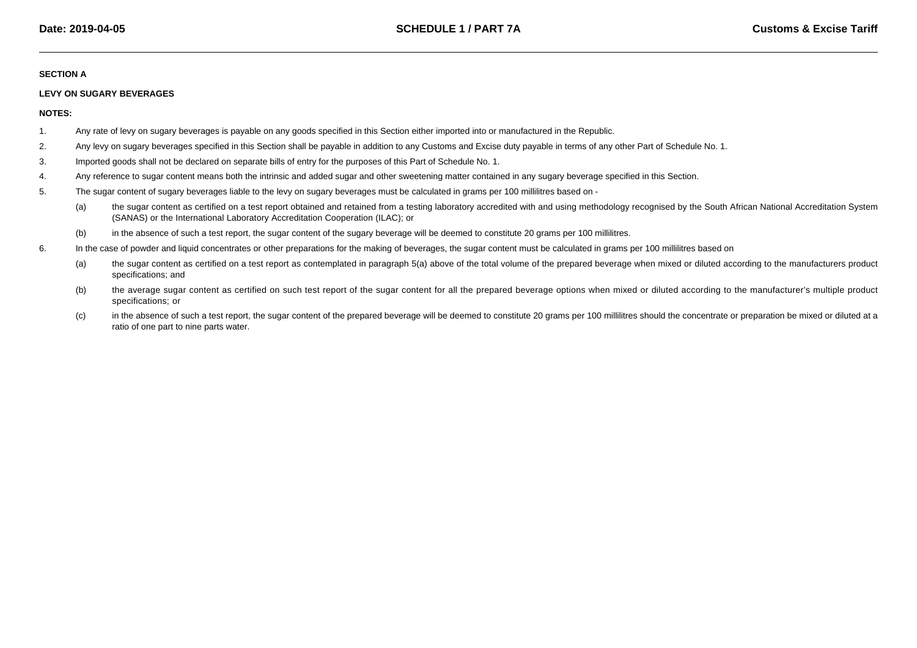## **SECTION A**

## **LEVY ON SUGARY BEVERAGES**

**NOTES:**

- 1.Any rate of levy on sugary beverages is payable on any goods specified in this Section either imported into or manufactured in the Republic.
- 2.Any levy on sugary beverages specified in this Section shall be payable in addition to any Customs and Excise duty payable in terms of any other Part of Schedule No. 1.
- 3.Imported goods shall not be declared on separate bills of entry for the purposes of this Part of Schedule No. 1.
- 4.Any reference to sugar content means both the intrinsic and added sugar and other sweetening matter contained in any sugary beverage specified in this Section.
- 5. The sugar content of sugary beverages liable to the levy on sugary beverages must be calculated in grams per 100 millilitres based on -
	- (a) the sugar content as certified on a test report obtained and retained from a testing laboratory accredited with and using methodology recognised by the South African National Accreditation System(SANAS) or the International Laboratory Accreditation Cooperation (ILAC); or
	- (b)in the absence of such a test report, the sugar content of the sugary beverage will be deemed to constitute 20 grams per 100 millilitres.
- 6.In the case of powder and liquid concentrates or other preparations for the making of beverages, the sugar content must be calculated in grams per 100 millilitres based on
	- (a) the sugar content as certified on a test report as contemplated in paragraph 5(a) above of the total volume of the prepared beverage when mixed or diluted according to the manufacturers product specifications; and
	- (b) the average sugar content as certified on such test report of the sugar content for all the prepared beverage options when mixed or diluted according to the manufacturer's multiple product specifications; or
	- (c)in the absence of such a test report, the sugar content of the prepared beverage will be deemed to constitute 20 grams per 100 millilitres should the concentrate or preparation be mixed or diluted at a ratio of one part to nine parts water.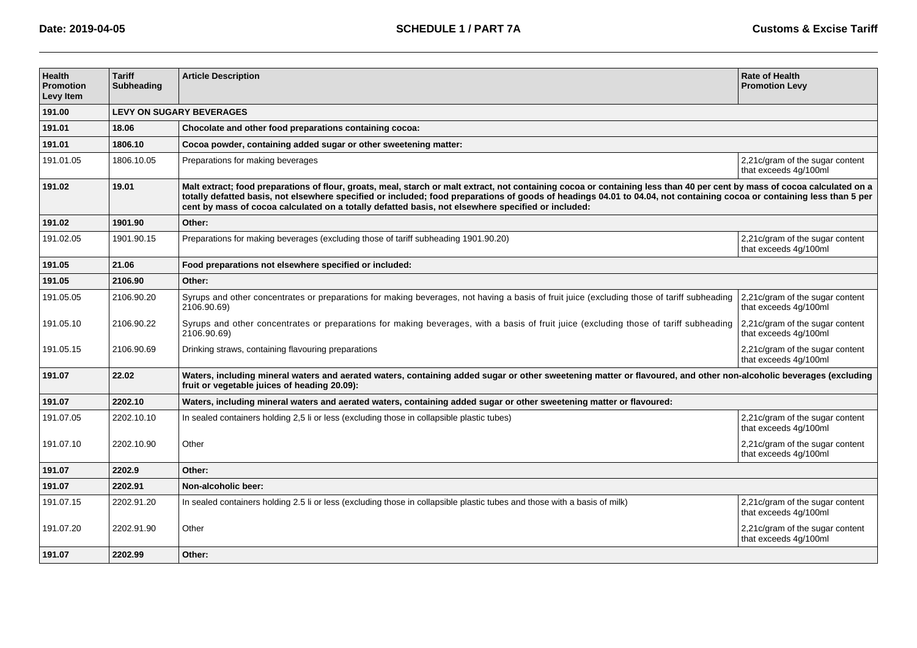| <b>Health</b><br><b>Promotion</b><br>Levy Item | <b>Tariff</b><br><b>Subheading</b> | <b>Article Description</b>                                                                                                                                                                                                                                                                                                                                                                                                                                | <b>Rate of Health</b><br><b>Promotion Levy</b>            |  |  |  |
|------------------------------------------------|------------------------------------|-----------------------------------------------------------------------------------------------------------------------------------------------------------------------------------------------------------------------------------------------------------------------------------------------------------------------------------------------------------------------------------------------------------------------------------------------------------|-----------------------------------------------------------|--|--|--|
| 191.00                                         |                                    | <b>LEVY ON SUGARY BEVERAGES</b>                                                                                                                                                                                                                                                                                                                                                                                                                           |                                                           |  |  |  |
| 191.01                                         | 18.06                              | Chocolate and other food preparations containing cocoa:                                                                                                                                                                                                                                                                                                                                                                                                   |                                                           |  |  |  |
| 191.01                                         | 1806.10                            | Cocoa powder, containing added sugar or other sweetening matter:                                                                                                                                                                                                                                                                                                                                                                                          |                                                           |  |  |  |
| 191.01.05                                      | 1806.10.05                         | Preparations for making beverages                                                                                                                                                                                                                                                                                                                                                                                                                         | 2,21c/gram of the sugar content<br>that exceeds 4g/100ml  |  |  |  |
| 191.02                                         | 19.01                              | Malt extract; food preparations of flour, groats, meal, starch or malt extract, not containing cocoa or containing less than 40 per cent by mass of cocoa calculated on a<br>totally defatted basis, not elsewhere specified or included; food preparations of goods of headings 04.01 to 04.04, not containing cocoa or containing less than 5 per<br>cent by mass of cocoa calculated on a totally defatted basis, not elsewhere specified or included: |                                                           |  |  |  |
| 191.02                                         | 1901.90                            | Other:                                                                                                                                                                                                                                                                                                                                                                                                                                                    |                                                           |  |  |  |
| 191.02.05                                      | 1901.90.15                         | Preparations for making beverages (excluding those of tariff subheading 1901.90.20)                                                                                                                                                                                                                                                                                                                                                                       | 2,21c/gram of the sugar content<br>that exceeds 4q/100ml  |  |  |  |
| 191.05                                         | 21.06                              | Food preparations not elsewhere specified or included:                                                                                                                                                                                                                                                                                                                                                                                                    |                                                           |  |  |  |
| 191.05                                         | 2106.90                            | Other:                                                                                                                                                                                                                                                                                                                                                                                                                                                    |                                                           |  |  |  |
| 191.05.05                                      | 2106.90.20                         | Syrups and other concentrates or preparations for making beverages, not having a basis of fruit juice (excluding those of tariff subheading<br>2106.90.69)                                                                                                                                                                                                                                                                                                | 2,21c/gram of the sugar content<br>that exceeds 4g/100ml  |  |  |  |
| 191.05.10                                      | 2106.90.22                         | Syrups and other concentrates or preparations for making beverages, with a basis of fruit juice (excluding those of tariff subheading<br>2106.90.69)                                                                                                                                                                                                                                                                                                      | 2,21 c/gram of the sugar content<br>that exceeds 4g/100ml |  |  |  |
| 191.05.15                                      | 2106.90.69                         | Drinking straws, containing flavouring preparations                                                                                                                                                                                                                                                                                                                                                                                                       | 2,21c/gram of the sugar content<br>that exceeds 4g/100ml  |  |  |  |
| 191.07                                         | 22.02                              | Waters, including mineral waters and aerated waters, containing added sugar or other sweetening matter or flavoured, and other non-alcoholic beverages (excluding<br>fruit or vegetable juices of heading 20.09):                                                                                                                                                                                                                                         |                                                           |  |  |  |
| 191.07                                         | 2202.10                            | Waters, including mineral waters and aerated waters, containing added sugar or other sweetening matter or flavoured:                                                                                                                                                                                                                                                                                                                                      |                                                           |  |  |  |
| 191.07.05                                      | 2202.10.10                         | In sealed containers holding 2,5 li or less (excluding those in collapsible plastic tubes)                                                                                                                                                                                                                                                                                                                                                                | 2,21c/gram of the sugar content<br>that exceeds 4q/100ml  |  |  |  |
| 191.07.10                                      | 2202.10.90                         | Other                                                                                                                                                                                                                                                                                                                                                                                                                                                     | 2,21c/gram of the sugar content<br>that exceeds 4g/100ml  |  |  |  |
| 191.07                                         | 2202.9                             | Other:                                                                                                                                                                                                                                                                                                                                                                                                                                                    |                                                           |  |  |  |
| 191.07                                         | 2202.91                            | Non-alcoholic beer:                                                                                                                                                                                                                                                                                                                                                                                                                                       |                                                           |  |  |  |
| 191.07.15                                      | 2202.91.20                         | In sealed containers holding 2.5 li or less (excluding those in collapsible plastic tubes and those with a basis of milk)                                                                                                                                                                                                                                                                                                                                 | 2,21c/gram of the sugar content<br>that exceeds 4g/100ml  |  |  |  |
| 191.07.20                                      | 2202.91.90                         | Other                                                                                                                                                                                                                                                                                                                                                                                                                                                     | 2,21c/gram of the sugar content<br>that exceeds 4g/100ml  |  |  |  |
| 191.07                                         | 2202.99                            | Other:                                                                                                                                                                                                                                                                                                                                                                                                                                                    |                                                           |  |  |  |